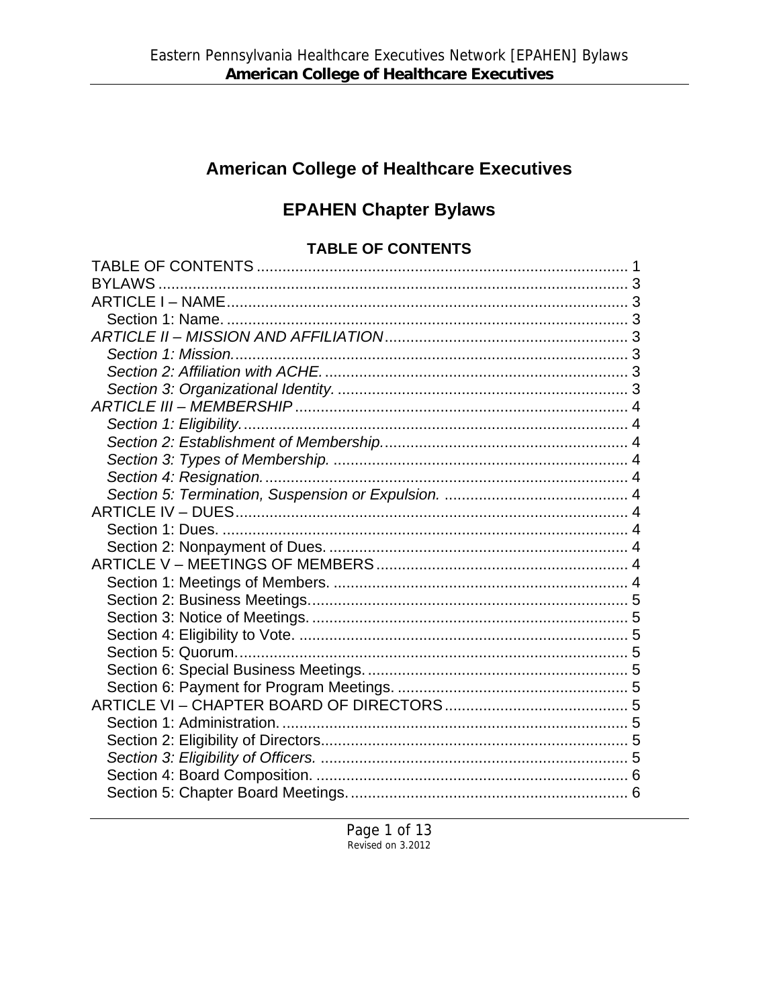# **American College of Healthcare Executives**

# **EPAHEN Chapter Bylaws**

## **TABLE OF CONTENTS**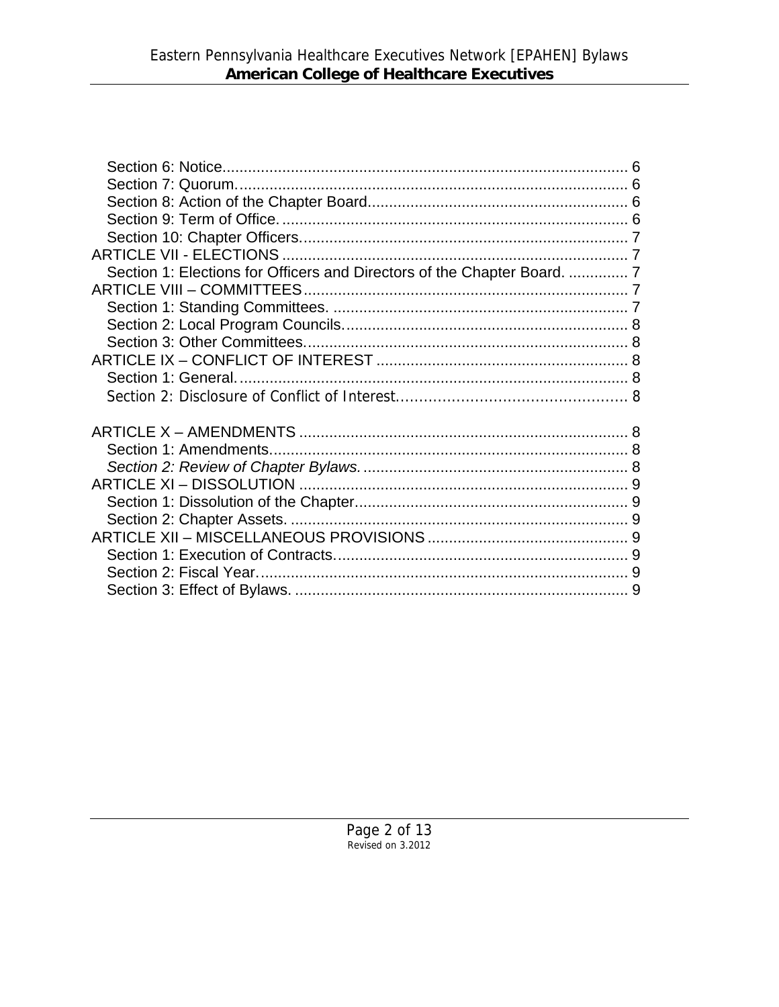| Section 1: Elections for Officers and Directors of the Chapter Board.  7 |  |
|--------------------------------------------------------------------------|--|
|                                                                          |  |
|                                                                          |  |
|                                                                          |  |
|                                                                          |  |
|                                                                          |  |
|                                                                          |  |
|                                                                          |  |
|                                                                          |  |
|                                                                          |  |
|                                                                          |  |
|                                                                          |  |
|                                                                          |  |
|                                                                          |  |
|                                                                          |  |
|                                                                          |  |
|                                                                          |  |
|                                                                          |  |
|                                                                          |  |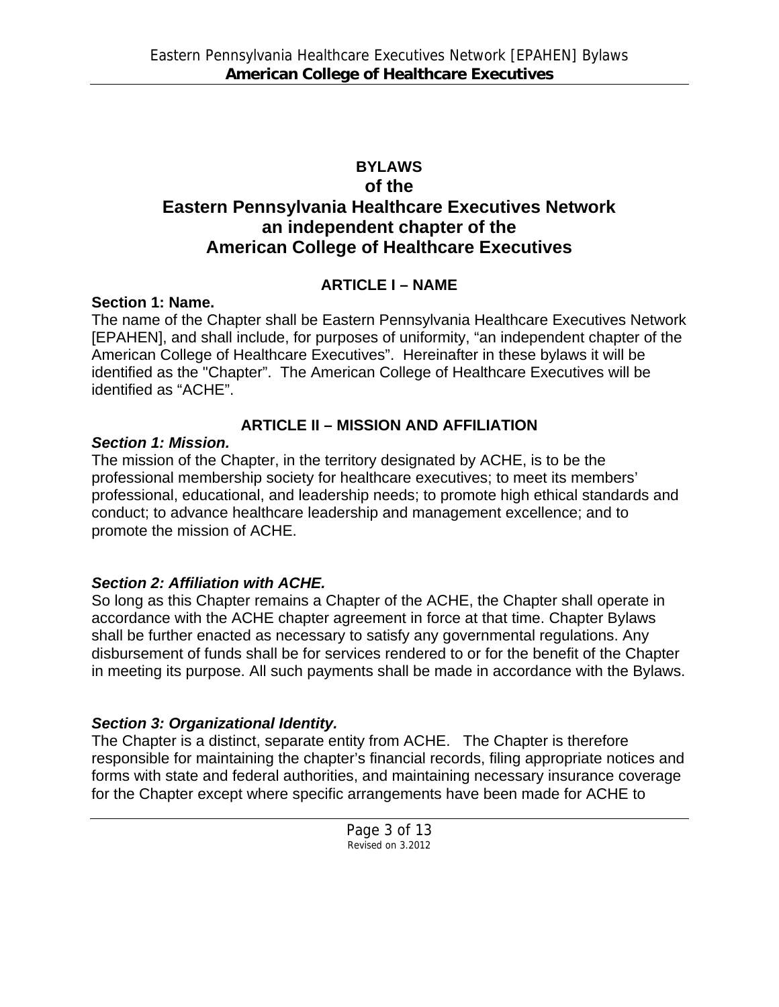## **BYLAWS**

## **of the Eastern Pennsylvania Healthcare Executives Network an independent chapter of the American College of Healthcare Executives**

## **ARTICLE I – NAME**

## **Section 1: Name.**

The name of the Chapter shall be Eastern Pennsylvania Healthcare Executives Network [EPAHEN], and shall include, for purposes of uniformity, "an independent chapter of the American College of Healthcare Executives". Hereinafter in these bylaws it will be identified as the "Chapter". The American College of Healthcare Executives will be identified as "ACHE".

# **ARTICLE II – MISSION AND AFFILIATION**

## *Section 1: Mission.*

The mission of the Chapter, in the territory designated by ACHE, is to be the professional membership society for healthcare executives; to meet its members' professional, educational, and leadership needs; to promote high ethical standards and conduct; to advance healthcare leadership and management excellence; and to promote the mission of ACHE.

# *Section 2: Affiliation with ACHE.*

So long as this Chapter remains a Chapter of the ACHE, the Chapter shall operate in accordance with the ACHE chapter agreement in force at that time. Chapter Bylaws shall be further enacted as necessary to satisfy any governmental regulations. Any disbursement of funds shall be for services rendered to or for the benefit of the Chapter in meeting its purpose. All such payments shall be made in accordance with the Bylaws.

# *Section 3: Organizational Identity.*

The Chapter is a distinct, separate entity from ACHE. The Chapter is therefore responsible for maintaining the chapter's financial records, filing appropriate notices and forms with state and federal authorities, and maintaining necessary insurance coverage for the Chapter except where specific arrangements have been made for ACHE to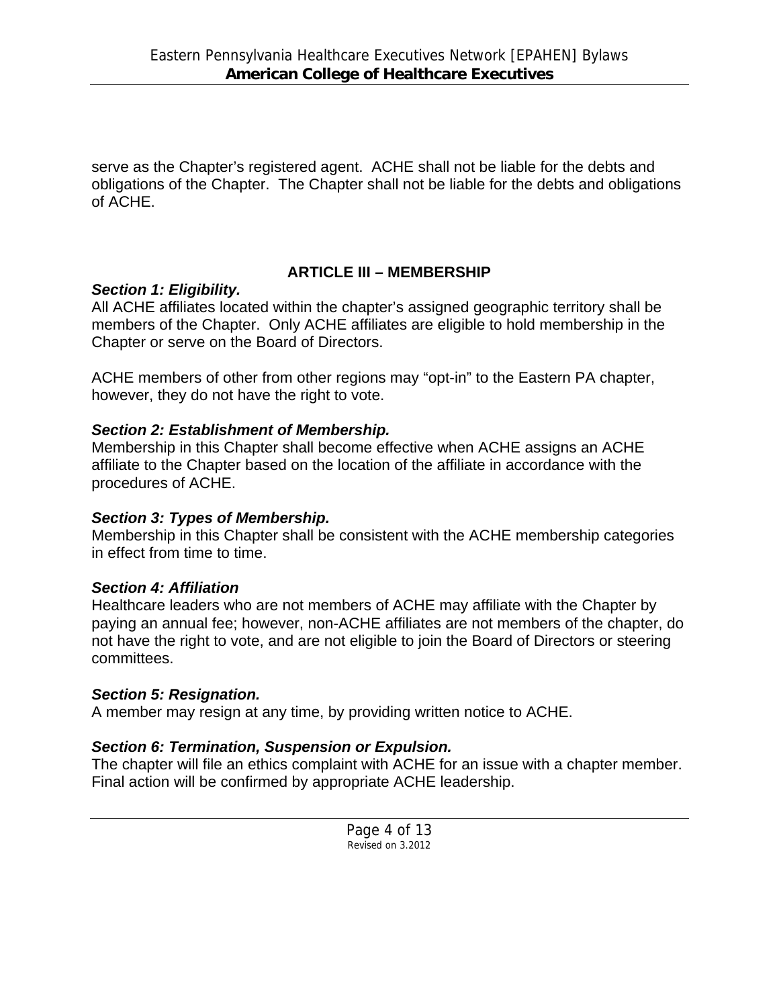serve as the Chapter's registered agent. ACHE shall not be liable for the debts and obligations of the Chapter. The Chapter shall not be liable for the debts and obligations of ACHE.

## **ARTICLE III – MEMBERSHIP**

#### *Section 1: Eligibility.*

All ACHE affiliates located within the chapter's assigned geographic territory shall be members of the Chapter. Only ACHE affiliates are eligible to hold membership in the Chapter or serve on the Board of Directors.

ACHE members of other from other regions may "opt-in" to the Eastern PA chapter, however, they do not have the right to vote.

## *Section 2: Establishment of Membership.*

Membership in this Chapter shall become effective when ACHE assigns an ACHE affiliate to the Chapter based on the location of the affiliate in accordance with the procedures of ACHE.

## *Section 3: Types of Membership.*

Membership in this Chapter shall be consistent with the ACHE membership categories in effect from time to time.

## *Section 4: Affiliation*

Healthcare leaders who are not members of ACHE may affiliate with the Chapter by paying an annual fee; however, non-ACHE affiliates are not members of the chapter, do not have the right to vote, and are not eligible to join the Board of Directors or steering committees.

#### *Section 5: Resignation.*

A member may resign at any time, by providing written notice to ACHE.

## *Section 6: Termination, Suspension or Expulsion.*

The chapter will file an ethics complaint with ACHE for an issue with a chapter member. Final action will be confirmed by appropriate ACHE leadership.

> Page 4 of 13 Revised on 3.2012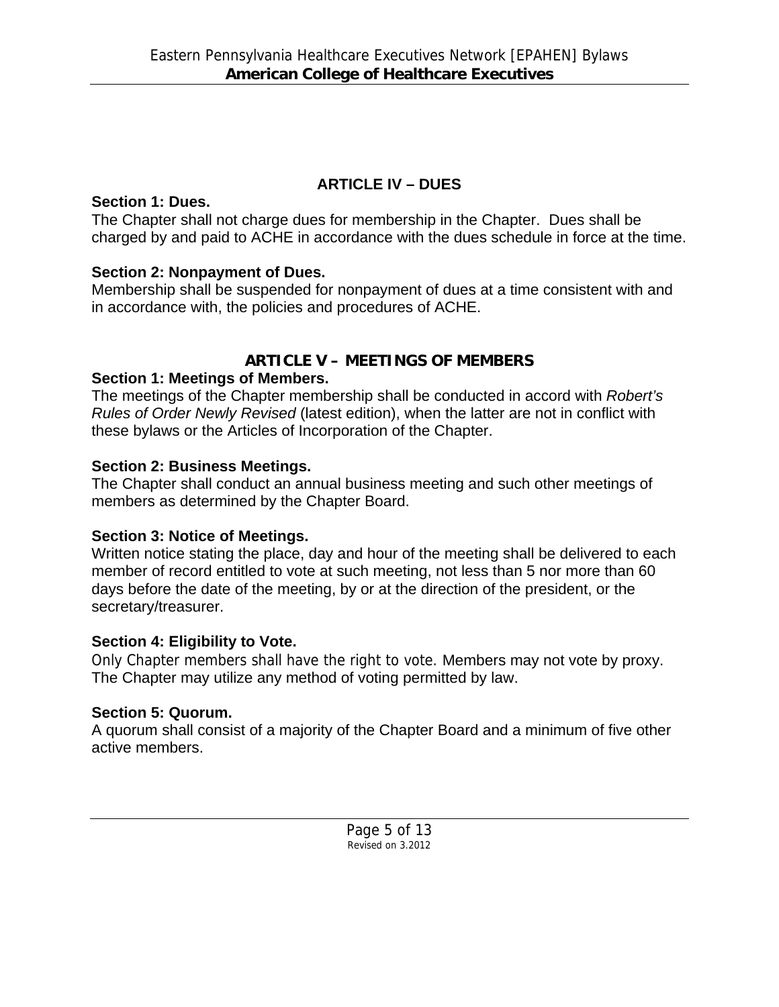## **ARTICLE IV – DUES**

#### **Section 1: Dues.**

The Chapter shall not charge dues for membership in the Chapter. Dues shall be charged by and paid to ACHE in accordance with the dues schedule in force at the time.

## **Section 2: Nonpayment of Dues.**

Membership shall be suspended for nonpayment of dues at a time consistent with and in accordance with, the policies and procedures of ACHE.

# **ARTICLE V – MEETINGS OF MEMBERS**

## **Section 1: Meetings of Members.**

The meetings of the Chapter membership shall be conducted in accord with *Robert's Rules of Order Newly Revised* (latest edition), when the latter are not in conflict with these bylaws or the Articles of Incorporation of the Chapter.

## **Section 2: Business Meetings.**

The Chapter shall conduct an annual business meeting and such other meetings of members as determined by the Chapter Board.

# **Section 3: Notice of Meetings.**

Written notice stating the place, day and hour of the meeting shall be delivered to each member of record entitled to vote at such meeting, not less than 5 nor more than 60 days before the date of the meeting, by or at the direction of the president, or the secretary/treasurer.

# **Section 4: Eligibility to Vote.**

Only Chapter members shall have the right to vote. Members may not vote by proxy. The Chapter may utilize any method of voting permitted by law.

# **Section 5: Quorum.**

A quorum shall consist of a majority of the Chapter Board and a minimum of five other active members.

> Page 5 of 13 Revised on 3.2012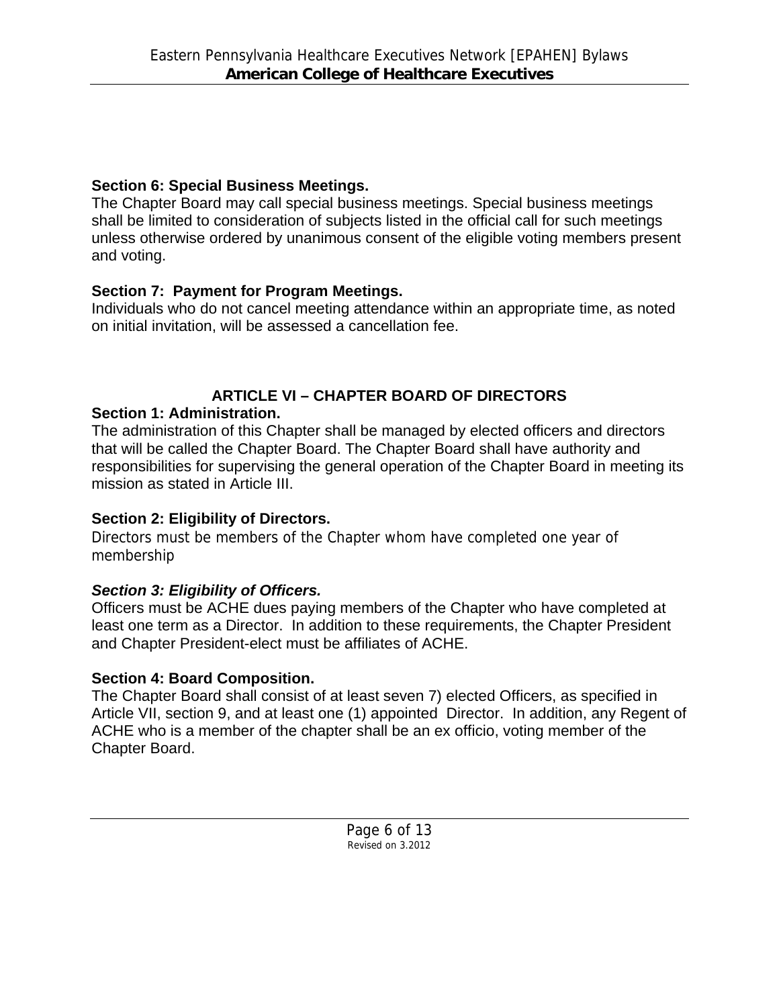## **Section 6: Special Business Meetings.**

The Chapter Board may call special business meetings. Special business meetings shall be limited to consideration of subjects listed in the official call for such meetings unless otherwise ordered by unanimous consent of the eligible voting members present and voting.

# **Section 7: Payment for Program Meetings.**

Individuals who do not cancel meeting attendance within an appropriate time, as noted on initial invitation, will be assessed a cancellation fee.

# **ARTICLE VI – CHAPTER BOARD OF DIRECTORS**

# **Section 1: Administration.**

The administration of this Chapter shall be managed by elected officers and directors that will be called the Chapter Board. The Chapter Board shall have authority and responsibilities for supervising the general operation of the Chapter Board in meeting its mission as stated in Article III.

# **Section 2: Eligibility of Directors.**

Directors must be members of the Chapter whom have completed one year of membership

# *Section 3: Eligibility of Officers.*

Officers must be ACHE dues paying members of the Chapter who have completed at least one term as a Director. In addition to these requirements, the Chapter President and Chapter President-elect must be affiliates of ACHE.

# **Section 4: Board Composition.**

The Chapter Board shall consist of at least seven 7) elected Officers, as specified in Article VII, section 9, and at least one (1) appointed Director. In addition, any Regent of ACHE who is a member of the chapter shall be an ex officio, voting member of the Chapter Board.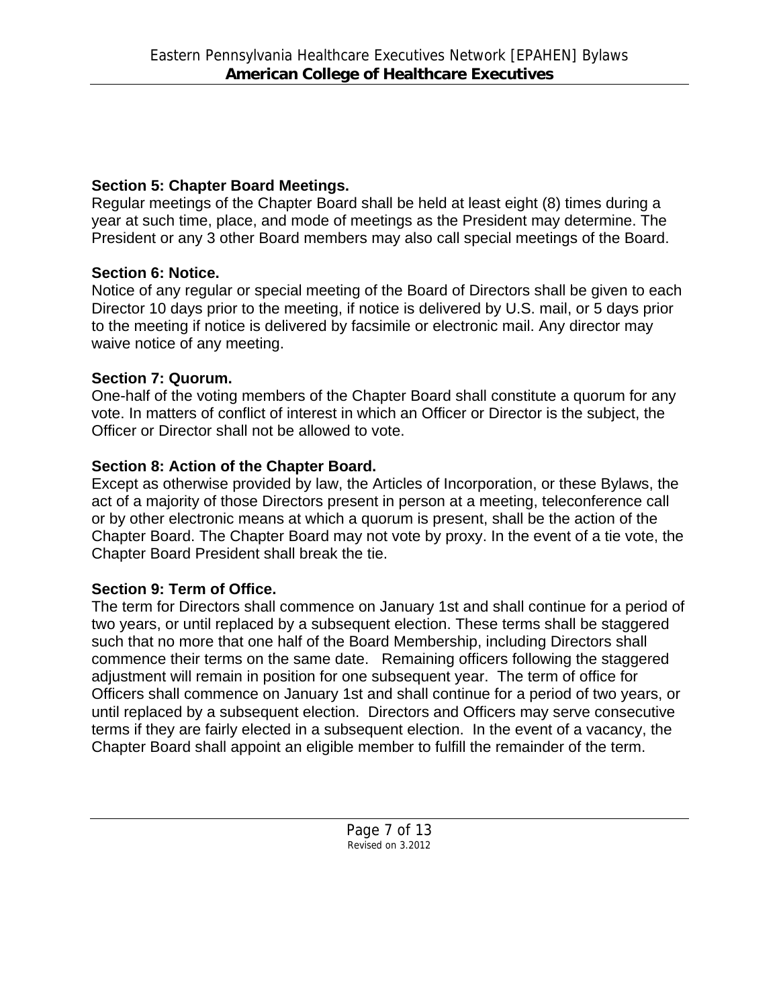## **Section 5: Chapter Board Meetings.**

Regular meetings of the Chapter Board shall be held at least eight (8) times during a year at such time, place, and mode of meetings as the President may determine. The President or any 3 other Board members may also call special meetings of the Board.

# **Section 6: Notice.**

Notice of any regular or special meeting of the Board of Directors shall be given to each Director 10 days prior to the meeting, if notice is delivered by U.S. mail, or 5 days prior to the meeting if notice is delivered by facsimile or electronic mail. Any director may waive notice of any meeting.

# **Section 7: Quorum.**

One-half of the voting members of the Chapter Board shall constitute a quorum for any vote. In matters of conflict of interest in which an Officer or Director is the subject, the Officer or Director shall not be allowed to vote.

# **Section 8: Action of the Chapter Board.**

Except as otherwise provided by law, the Articles of Incorporation, or these Bylaws, the act of a majority of those Directors present in person at a meeting, teleconference call or by other electronic means at which a quorum is present, shall be the action of the Chapter Board. The Chapter Board may not vote by proxy. In the event of a tie vote, the Chapter Board President shall break the tie.

# **Section 9: Term of Office.**

The term for Directors shall commence on January 1st and shall continue for a period of two years, or until replaced by a subsequent election. These terms shall be staggered such that no more that one half of the Board Membership, including Directors shall commence their terms on the same date. Remaining officers following the staggered adjustment will remain in position for one subsequent year. The term of office for Officers shall commence on January 1st and shall continue for a period of two years, or until replaced by a subsequent election. Directors and Officers may serve consecutive terms if they are fairly elected in a subsequent election. In the event of a vacancy, the Chapter Board shall appoint an eligible member to fulfill the remainder of the term.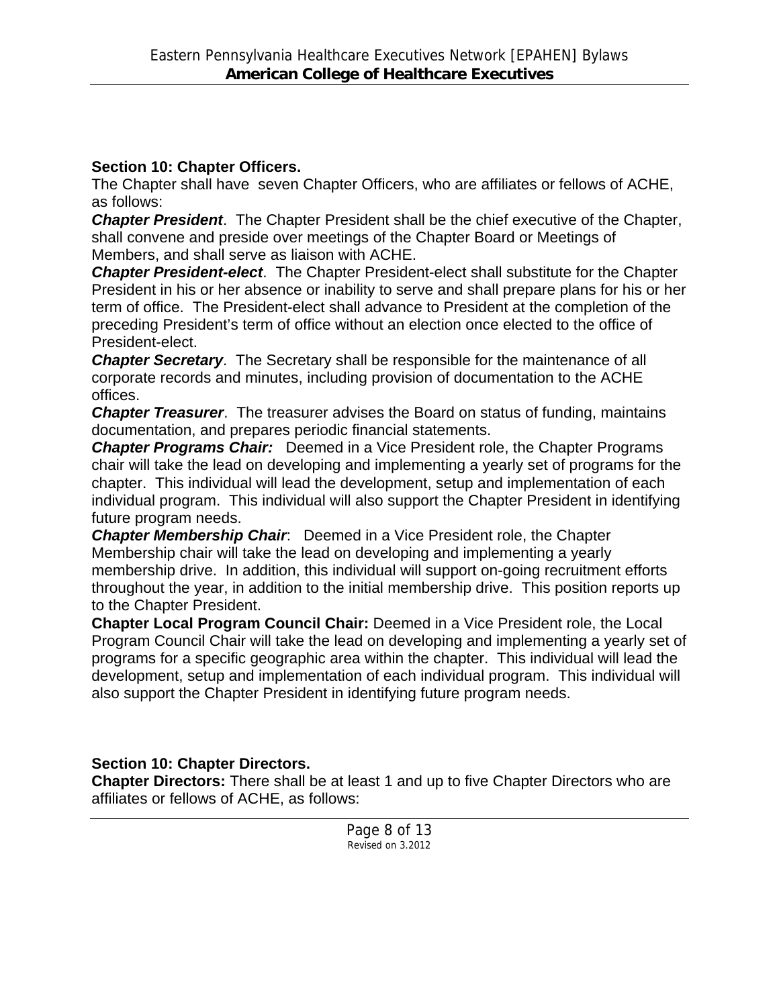#### **Section 10: Chapter Officers.**

The Chapter shall have seven Chapter Officers, who are affiliates or fellows of ACHE, as follows:

*Chapter President*. The Chapter President shall be the chief executive of the Chapter, shall convene and preside over meetings of the Chapter Board or Meetings of Members, and shall serve as liaison with ACHE.

*Chapter President-elect*. The Chapter President-elect shall substitute for the Chapter President in his or her absence or inability to serve and shall prepare plans for his or her term of office. The President-elect shall advance to President at the completion of the preceding President's term of office without an election once elected to the office of President-elect.

*Chapter Secretary*. The Secretary shall be responsible for the maintenance of all corporate records and minutes, including provision of documentation to the ACHE offices.

*Chapter Treasurer*. The treasurer advises the Board on status of funding, maintains documentation, and prepares periodic financial statements.

*Chapter Programs Chair:* Deemed in a Vice President role, the Chapter Programs chair will take the lead on developing and implementing a yearly set of programs for the chapter. This individual will lead the development, setup and implementation of each individual program. This individual will also support the Chapter President in identifying future program needs.

*Chapter Membership Chair*: Deemed in a Vice President role, the Chapter Membership chair will take the lead on developing and implementing a yearly membership drive. In addition, this individual will support on-going recruitment efforts throughout the year, in addition to the initial membership drive. This position reports up to the Chapter President.

**Chapter Local Program Council Chair:** Deemed in a Vice President role, the Local Program Council Chair will take the lead on developing and implementing a yearly set of programs for a specific geographic area within the chapter. This individual will lead the development, setup and implementation of each individual program. This individual will also support the Chapter President in identifying future program needs.

## **Section 10: Chapter Directors.**

**Chapter Directors:** There shall be at least 1 and up to five Chapter Directors who are affiliates or fellows of ACHE, as follows: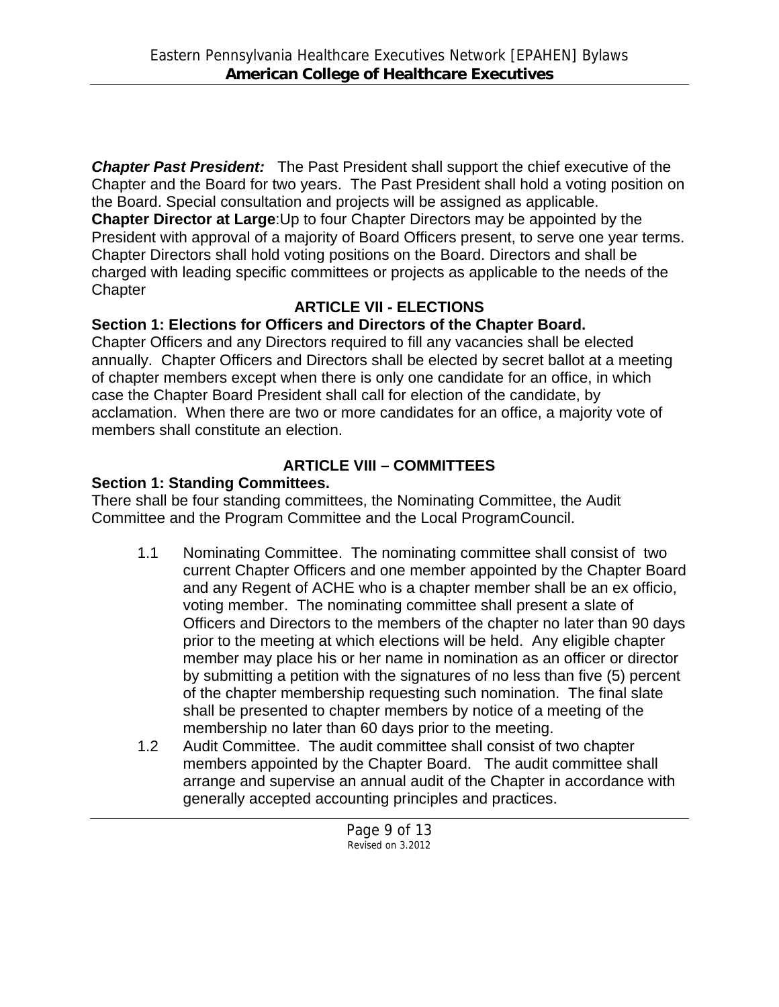*Chapter Past President:* The Past President shall support the chief executive of the Chapter and the Board for two years. The Past President shall hold a voting position on the Board. Special consultation and projects will be assigned as applicable.

**Chapter Director at Large**:Up to four Chapter Directors may be appointed by the President with approval of a majority of Board Officers present, to serve one year terms. Chapter Directors shall hold voting positions on the Board. Directors and shall be charged with leading specific committees or projects as applicable to the needs of the **Chapter** 

# **ARTICLE VII - ELECTIONS**

# **Section 1: Elections for Officers and Directors of the Chapter Board.**

Chapter Officers and any Directors required to fill any vacancies shall be elected annually. Chapter Officers and Directors shall be elected by secret ballot at a meeting of chapter members except when there is only one candidate for an office, in which case the Chapter Board President shall call for election of the candidate, by acclamation. When there are two or more candidates for an office, a majority vote of members shall constitute an election.

# **ARTICLE VIII – COMMITTEES**

## **Section 1: Standing Committees.**

There shall be four standing committees, the Nominating Committee, the Audit Committee and the Program Committee and the Local ProgramCouncil.

- 1.1 Nominating Committee. The nominating committee shall consist of two current Chapter Officers and one member appointed by the Chapter Board and any Regent of ACHE who is a chapter member shall be an ex officio, voting member. The nominating committee shall present a slate of Officers and Directors to the members of the chapter no later than 90 days prior to the meeting at which elections will be held. Any eligible chapter member may place his or her name in nomination as an officer or director by submitting a petition with the signatures of no less than five (5) percent of the chapter membership requesting such nomination. The final slate shall be presented to chapter members by notice of a meeting of the membership no later than 60 days prior to the meeting.
- 1.2 Audit Committee. The audit committee shall consist of two chapter members appointed by the Chapter Board. The audit committee shall arrange and supervise an annual audit of the Chapter in accordance with generally accepted accounting principles and practices.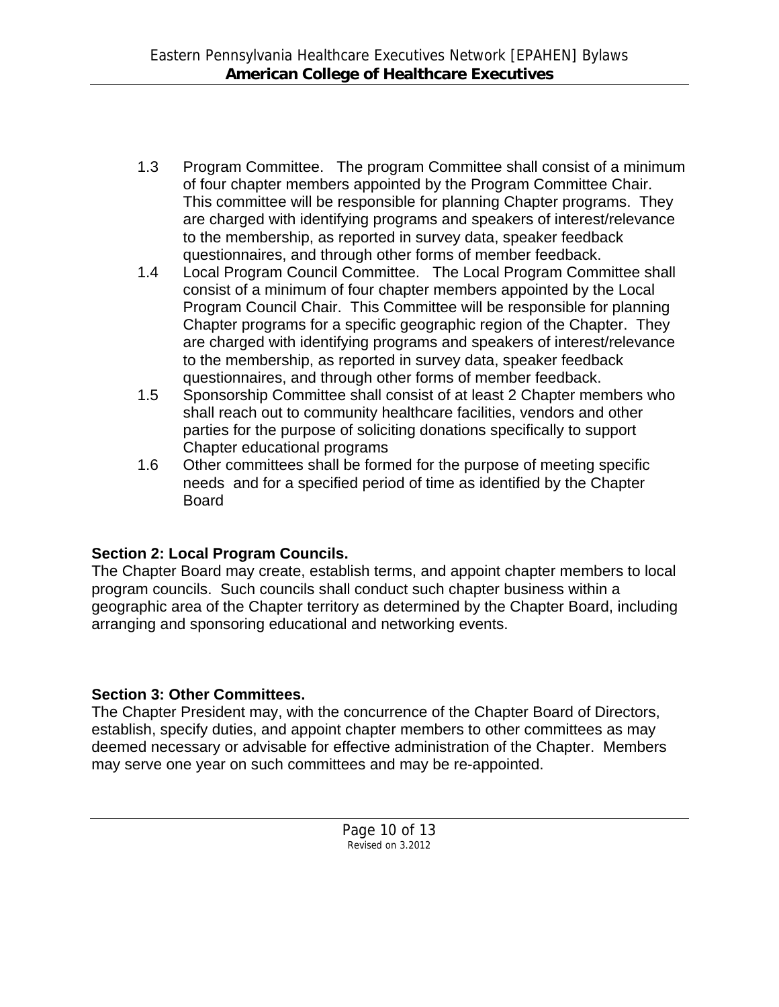- 1.3 Program Committee. The program Committee shall consist of a minimum of four chapter members appointed by the Program Committee Chair. This committee will be responsible for planning Chapter programs. They are charged with identifying programs and speakers of interest/relevance to the membership, as reported in survey data, speaker feedback questionnaires, and through other forms of member feedback.
- 1.4 Local Program Council Committee. The Local Program Committee shall consist of a minimum of four chapter members appointed by the Local Program Council Chair. This Committee will be responsible for planning Chapter programs for a specific geographic region of the Chapter. They are charged with identifying programs and speakers of interest/relevance to the membership, as reported in survey data, speaker feedback questionnaires, and through other forms of member feedback.
- 1.5 Sponsorship Committee shall consist of at least 2 Chapter members who shall reach out to community healthcare facilities, vendors and other parties for the purpose of soliciting donations specifically to support Chapter educational programs
- 1.6 Other committees shall be formed for the purpose of meeting specific needs and for a specified period of time as identified by the Chapter Board

# **Section 2: Local Program Councils.**

The Chapter Board may create, establish terms, and appoint chapter members to local program councils. Such councils shall conduct such chapter business within a geographic area of the Chapter territory as determined by the Chapter Board, including arranging and sponsoring educational and networking events.

## **Section 3: Other Committees.**

The Chapter President may, with the concurrence of the Chapter Board of Directors, establish, specify duties, and appoint chapter members to other committees as may deemed necessary or advisable for effective administration of the Chapter. Members may serve one year on such committees and may be re-appointed.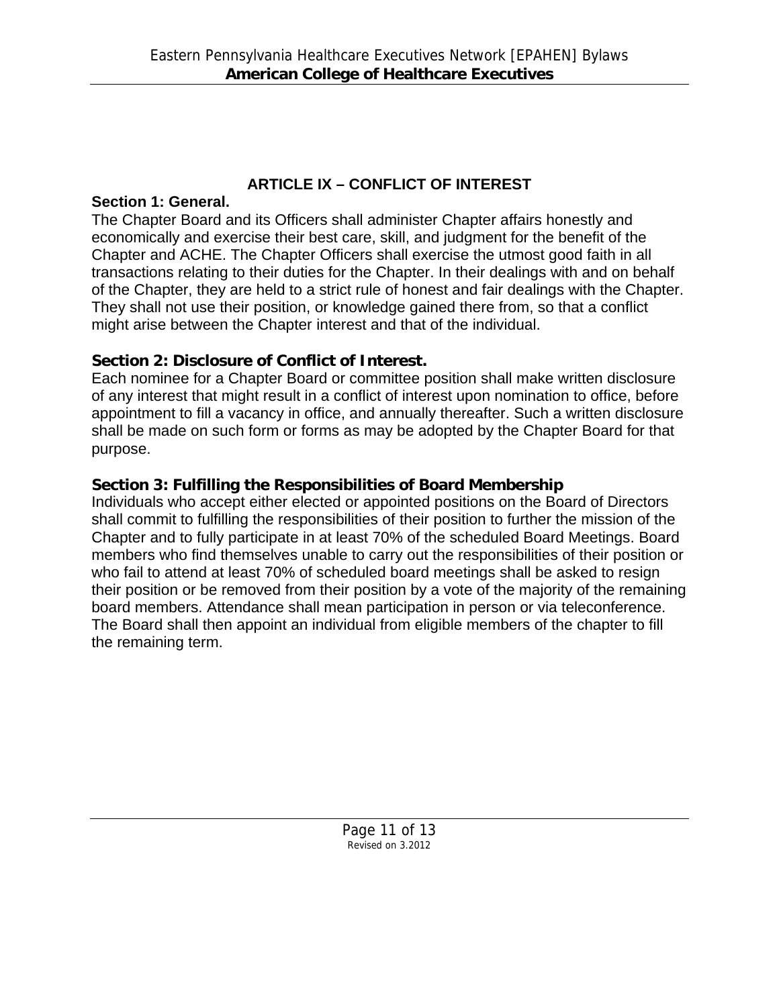## **ARTICLE IX – CONFLICT OF INTEREST**

#### **Section 1: General.**

The Chapter Board and its Officers shall administer Chapter affairs honestly and economically and exercise their best care, skill, and judgment for the benefit of the Chapter and ACHE. The Chapter Officers shall exercise the utmost good faith in all transactions relating to their duties for the Chapter. In their dealings with and on behalf of the Chapter, they are held to a strict rule of honest and fair dealings with the Chapter. They shall not use their position, or knowledge gained there from, so that a conflict might arise between the Chapter interest and that of the individual.

## **Section 2: Disclosure of Conflict of Interest.**

Each nominee for a Chapter Board or committee position shall make written disclosure of any interest that might result in a conflict of interest upon nomination to office, before appointment to fill a vacancy in office, and annually thereafter. Such a written disclosure shall be made on such form or forms as may be adopted by the Chapter Board for that purpose.

## **Section 3: Fulfilling the Responsibilities of Board Membership**

Individuals who accept either elected or appointed positions on the Board of Directors shall commit to fulfilling the responsibilities of their position to further the mission of the Chapter and to fully participate in at least 70% of the scheduled Board Meetings. Board members who find themselves unable to carry out the responsibilities of their position or who fail to attend at least 70% of scheduled board meetings shall be asked to resign their position or be removed from their position by a vote of the majority of the remaining board members. Attendance shall mean participation in person or via teleconference. The Board shall then appoint an individual from eligible members of the chapter to fill the remaining term.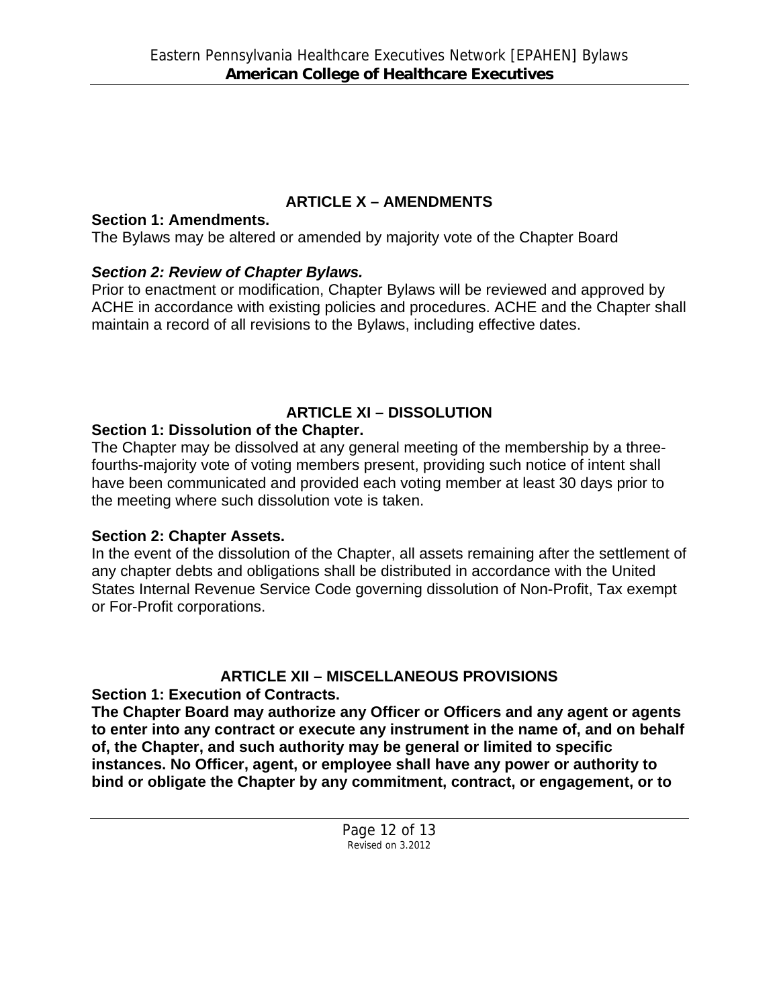# **ARTICLE X – AMENDMENTS**

### **Section 1: Amendments.**

The Bylaws may be altered or amended by majority vote of the Chapter Board

## *Section 2: Review of Chapter Bylaws.*

Prior to enactment or modification, Chapter Bylaws will be reviewed and approved by ACHE in accordance with existing policies and procedures. ACHE and the Chapter shall maintain a record of all revisions to the Bylaws, including effective dates.

# **ARTICLE XI – DISSOLUTION**

## **Section 1: Dissolution of the Chapter.**

The Chapter may be dissolved at any general meeting of the membership by a threefourths-majority vote of voting members present, providing such notice of intent shall have been communicated and provided each voting member at least 30 days prior to the meeting where such dissolution vote is taken.

## **Section 2: Chapter Assets.**

In the event of the dissolution of the Chapter, all assets remaining after the settlement of any chapter debts and obligations shall be distributed in accordance with the United States Internal Revenue Service Code governing dissolution of Non-Profit, Tax exempt or For-Profit corporations.

# **ARTICLE XII – MISCELLANEOUS PROVISIONS**

**Section 1: Execution of Contracts.** 

**The Chapter Board may authorize any Officer or Officers and any agent or agents to enter into any contract or execute any instrument in the name of, and on behalf of, the Chapter, and such authority may be general or limited to specific instances. No Officer, agent, or employee shall have any power or authority to bind or obligate the Chapter by any commitment, contract, or engagement, or to**